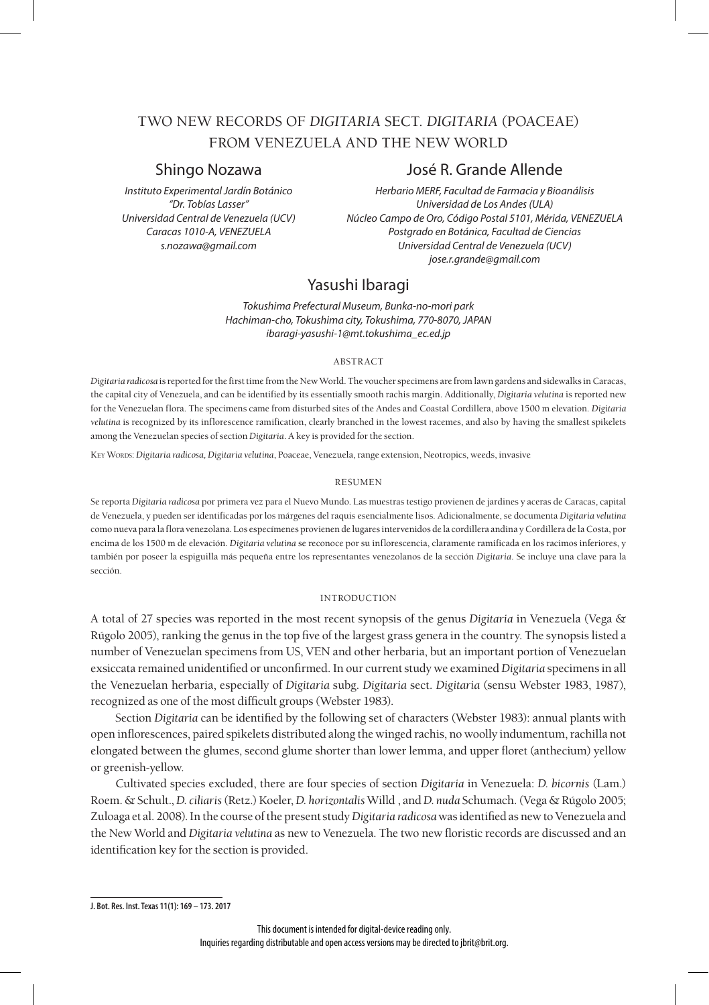# TWO NEW RECORDS OF *DIGITARIA* SECT. *DIGITARIA* (POACEAE) FROM VENEZUELA AND THE NEW WORLD

# Shingo Nozawa José R. Grande Allende

*Instituto Experimental Jardín Botánico Herbario MERF, Facultad de Farmacia y Bioanálisis "Dr. Tobías Lasser" Universidad de Los Andes (ULA) Universidad Central de Venezuela (UCV) Núcleo Campo de Oro, Código Postal 5101, Mérida, VENEZUELA Caracas 1010-A, VENEZUELA Postgrado en Botánica, Facultad de Ciencias s.nozawa@gmail.com Universidad Central de Venezuela (UCV) jose.r.grande@gmail.com*

# Yasushi Ibaragi

*Tokushima Prefectural Museum, Bunka-no-mori park Hachiman-cho, Tokushima city, Tokushima, 770-8070, JAPAN ibaragi-yasushi-1@mt.tokushima\_ec.ed.jp*

## abstract

*Digitaria radicosa* is reported for the first time from the New World. The voucher specimens are from lawn gardens and sidewalks in Caracas, the capital city of Venezuela, and can be identified by its essentially smooth rachis margin. Additionally, *Digitaria velutina* is reported new for the Venezuelan flora. The specimens came from disturbed sites of the Andes and Coastal Cordillera, above 1500 m elevation. *Digitaria velutina* is recognized by its inflorescence ramification, clearly branched in the lowest racemes, and also by having the smallest spikelets among the Venezuelan species of section *Digitaria*. A key is provided for the section.

Key Words: *Digitaria radicosa, Digitaria velutina*, Poaceae, Venezuela, range extension, Neotropics, weeds, invasive

## resumen

Se reporta *Digitaria radicosa* por primera vez para el Nuevo Mundo. Las muestras testigo provienen de jardines y aceras de Caracas, capital de Venezuela, y pueden ser identificadas por los márgenes del raquis esencialmente lisos. Adicionalmente, se documenta *Digitaria velutina* como nueva para la flora venezolana. Los especímenes provienen de lugares intervenidos de la cordillera andina y Cordillera de la Costa, por encima de los 1500 m de elevación. *Digitaria velutina* se reconoce por su inflorescencia, claramente ramificada en los racimos inferiores, y también por poseer la espiguilla más pequeña entre los representantes venezolanos de la sección *Digitaria*. Se incluye una clave para la sección.

## introduction

A total of 27 species was reported in the most recent synopsis of the genus *Digitaria* in Venezuela (Vega & Rúgolo 2005), ranking the genus in the top five of the largest grass genera in the country. The synopsis listed a number of Venezuelan specimens from US, VEN and other herbaria, but an important portion of Venezuelan exsiccata remained unidentified or unconfirmed. In our current study we examined *Digitaria* specimens in all the Venezuelan herbaria, especially of *Digitaria* subg. *Digitaria* sect. *Digitaria* (sensu Webster 1983, 1987), recognized as one of the most difficult groups (Webster 1983).

Section *Digitaria* can be identified by the following set of characters (Webster 1983): annual plants with open inflorescences, paired spikelets distributed along the winged rachis, no woolly indumentum, rachilla not elongated between the glumes, second glume shorter than lower lemma, and upper floret (anthecium) yellow or greenish-yellow.

Cultivated species excluded, there are four species of section *Digitaria* in Venezuela: *D. bicornis* (Lam.) Roem. & Schult., *D. ciliaris* (Retz.) Koeler, *D. horizontalis* Willd , and *D. nuda* Schumach. (Vega & Rúgolo 2005; Zuloaga et al. 2008). In the course of the present study *Digitaria radicosa* was identified as new to Venezuela and the New World and *Digitaria velutina* as new to Venezuela. The two new floristic records are discussed and an identification key for the section is provided.

**J. Bot. Res. Inst. Texas 11(1): 169 – 173. 2017**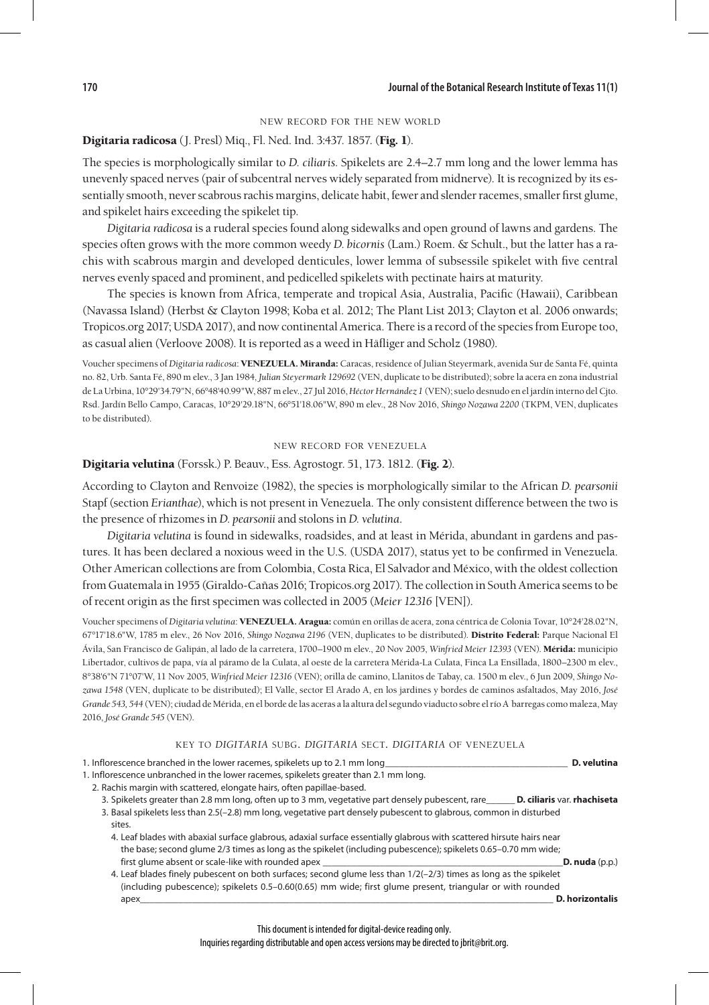## new record for the new world

## Digitaria radicosa (J. Presl) Miq., Fl. Ned. Ind. 3:437. 1857. (Fig. 1).

The species is morphologically similar to *D. ciliaris*. Spikelets are 2.4–2.7 mm long and the lower lemma has unevenly spaced nerves (pair of subcentral nerves widely separated from midnerve). It is recognized by its essentially smooth, never scabrous rachis margins, delicate habit, fewer and slender racemes, smaller first glume, and spikelet hairs exceeding the spikelet tip.

*Digitaria radicosa* is a ruderal species found along sidewalks and open ground of lawns and gardens. The species often grows with the more common weedy *D. bicornis* (Lam.) Roem. & Schult., but the latter has a rachis with scabrous margin and developed denticules, lower lemma of subsessile spikelet with five central nerves evenly spaced and prominent, and pedicelled spikelets with pectinate hairs at maturity.

The species is known from Africa, temperate and tropical Asia, Australia, Pacific (Hawaii), Caribbean (Navassa Island) (Herbst & Clayton 1998; Koba et al. 2012; The Plant List 2013; Clayton et al. 2006 onwards; Tropicos.org 2017; USDA 2017), and now continental America. There is a record of the species from Europe too, as casual alien (Verloove 2008). It is reported as a weed in Häfliger and Scholz (1980).

Voucher specimens of *Digitaria radicosa*: VENEZUELA. Miranda: Caracas, residence of Julian Steyermark, avenida Sur de Santa Fé, quinta no. 82, Urb. Santa Fé, 890 m elev., 3 Jan 1984, *Julian Steyermark 129692* (VEN, duplicate to be distributed); sobre la acera en zona industrial de La Urbina, 10°29'34.79"N, 66°48'40.99"W, 887 m elev., 27 Jul 2016, *Héctor Hernández 1* (VEN); suelo desnudo en el jardín interno del Cjto. Rsd. Jardín Bello Campo, Caracas, 10°29'29.18"N, 66°51'18.06"W, 890 m elev., 28 Nov 2016, *Shingo Nozawa 2200* (TKPM, VEN, duplicates to be distributed).

## new record for venezuela

## Digitaria velutina (Forssk.) P. Beauv., Ess. Agrostogr. 51, 173. 1812. (Fig. 2).

According to Clayton and Renvoize (1982), the species is morphologically similar to the African *D. pearsonii* Stapf (section *Erianthae*), which is not present in Venezuela. The only consistent difference between the two is the presence of rhizomes in *D. pearsonii* and stolons in *D. velutina*.

*Digitaria velutina* is found in sidewalks, roadsides, and at least in Mérida, abundant in gardens and pastures. It has been declared a noxious weed in the U.S. (USDA 2017), status yet to be confirmed in Venezuela. Other American collections are from Colombia, Costa Rica, El Salvador and México, with the oldest collection from Guatemala in 1955 (Giraldo-Cañas 2016; Tropicos.org 2017). The collection in South America seems to be of recent origin as the first specimen was collected in 2005 (*Meier 12316* [VEN]).

Voucher specimens of *Digitaria velutina*: VENEZUELA. Aragua: común en orillas de acera, zona céntrica de Colonia Tovar, 10°24'28.02"N, 67°17'18.6"W, 1785 m elev., 26 Nov 2016, *Shingo Nozawa 2196* (VEN, duplicates to be distributed). Distrito Federal: Parque Nacional El Ávila, San Francisco de Galipán, al lado de la carretera, 1700–1900 m elev., 20 Nov 2005, *Winfried Meier 12393* (VEN). Mérida: municipio Libertador, cultivos de papa, vía al páramo de la Culata, al oeste de la carretera Mérida-La Culata, Finca La Ensillada, 1800–2300 m elev., 8°38'6"N 71°07'W, 11 Nov 2005, *Winfried Meier 12316* (VEN); orilla de camino, Llanitos de Tabay, ca. 1500 m elev., 6 Jun 2009, *Shingo Nozawa 1548* (VEN, duplicate to be distributed); El Valle, sector El Arado A, en los jardines y bordes de caminos asfaltados, May 2016, *José Grande 543, 544* (VEN); ciudad de Mérida, en el borde de las aceras a la altura del segundo viaducto sobre el río A barregas como maleza, May 2016, *José Grande 545* (VEN).

## key to *digitaria* subg. *digitaria* sect. *digitaria* of venezuela

1. Inflorescence branched in the lower racemes, spikelets up to 2.1 mm long\_\_\_\_\_\_\_\_\_\_\_\_\_\_\_\_\_\_\_\_\_\_\_\_\_\_\_\_\_\_\_\_\_\_\_\_\_\_ **D. velutina**

1. Inflorescence unbranched in the lower racemes, spikelets greater than 2.1 mm long. 2. Rachis margin with scattered, elongate hairs, often papillae-based.

- 3. Spikelets greater than 2.8 mm long, often up to 3 mm, vegetative part densely pubescent, rare\_\_\_\_\_\_ **D. ciliaris** var. **rhachiseta**
- 3. Basal spikelets less than 2.5(–2.8) mm long, vegetative part densely pubescent to glabrous, common in disturbed sites.
	- 4. Leaf blades with abaxial surface glabrous, adaxial surface essentially glabrous with scattered hirsute hairs near the base; second glume 2/3 times as long as the spikelet (including pubescence); spikelets 0.65–0.70 mm wide; first glume absent or scale-like with rounded apex \_\_\_\_\_\_\_\_\_\_\_\_\_\_\_\_\_\_\_\_\_\_\_\_\_\_\_\_\_\_\_\_\_\_\_\_\_\_\_\_\_\_\_\_\_\_\_\_\_\_**D. nuda** (p.p.)
	- 4. Leaf blades finely pubescent on both surfaces; second glume less than 1/2(–2/3) times as long as the spikelet (including pubescence); spikelets 0.5–0.60(0.65) mm wide; first glume present, triangular or with rounded apex\_\_\_\_\_\_\_\_\_\_\_\_\_\_\_\_\_\_\_\_\_\_\_\_\_\_\_\_\_\_\_\_\_\_\_\_\_\_\_\_\_\_\_\_\_\_\_\_\_\_\_\_\_\_\_\_\_\_\_\_\_\_\_\_\_\_\_\_\_\_\_\_\_\_\_\_\_\_\_\_\_\_\_\_\_\_ **D. horizontalis**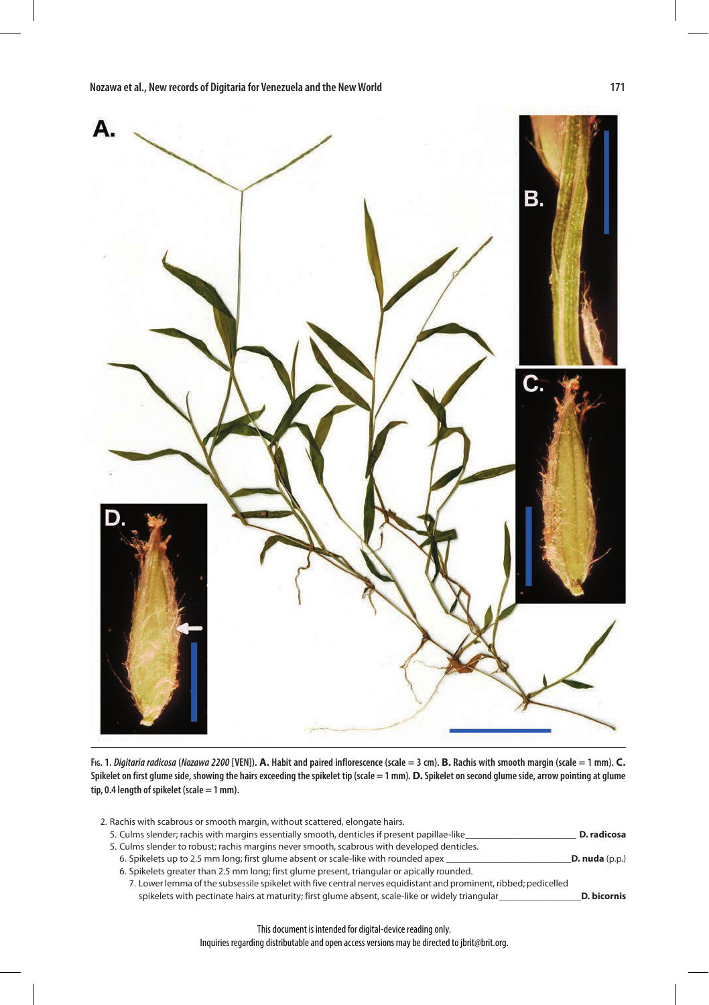

**Fig. 1.** *Digitaria radicosa* **(***Nozawa 2200* **[VEN]). A. Habit and paired inflorescence (scale = 3 cm). B. Rachis with smooth margin (scale = 1 mm). C. Spikelet on first glume side, showing the hairs exceeding the spikelet tip (scale = 1 mm). D. Spikelet on second glume side, arrow pointing at glume tip, 0.4 length of spikelet (scale = 1 mm).**

| 2. Rachis with scabrous or smooth margin, without scattered, elongate hairs.                                     |                  |
|------------------------------------------------------------------------------------------------------------------|------------------|
| 5. Culms slender; rachis with margins essentially smooth, denticles if present papillae-like                     | D. radicosa      |
| 5. Culms slender to robust; rachis margins never smooth, scabrous with developed denticles.                      |                  |
| 6. Spikelets up to 2.5 mm long; first glume absent or scale-like with rounded apex                               | D. nuda $(p.p.)$ |
| 6. Spikelets greater than 2.5 mm long; first glume present, triangular or apically rounded.                      |                  |
| 7. Lower lemma of the subsessile spikelet with five central nerves equidistant and prominent, ribbed; pedicelled |                  |
| spikelets with pectinate hairs at maturity; first glume absent, scale-like or widely triangular                  | D. bicornis      |

This document is intended for digital-device reading only. Inquiries regarding distributable and open access versions may be directed to jbrit@brit.org.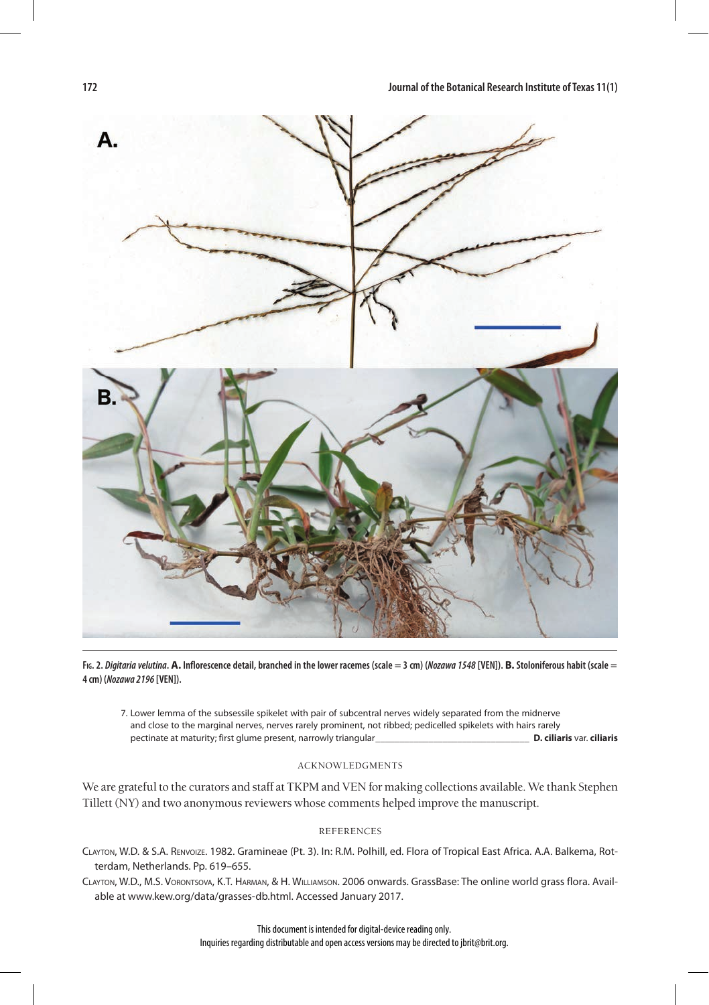

**Fig. 2.** *Digitaria velutina***. A. Inflorescence detail, branched in the lower racemes (scale = 3 cm) (***Nozawa 1548* **[VEN]). B. Stoloniferous habit (scale = 4 cm) (***Nozawa 2196* **[VEN]).**

7. Lower lemma of the subsessile spikelet with pair of subcentral nerves widely separated from the midnerve and close to the marginal nerves, nerves rarely prominent, not ribbed; pedicelled spikelets with hairs rarely pectinate at maturity; first glume present, narrowly triangular\_\_\_\_\_\_\_\_\_\_\_\_\_\_\_\_\_\_\_\_\_\_\_\_\_\_\_\_\_\_\_\_ **D. ciliaris** var. **ciliaris**

## acknowledgments

We are grateful to the curators and staff at TKPM and VEN for making collections available. We thank Stephen Tillett (NY) and two anonymous reviewers whose comments helped improve the manuscript.

## references

- Clayton, W.D. & S.A. Renvoize. 1982. Gramineae (Pt. 3). In: R.M. Polhill, ed. Flora of Tropical East Africa. A.A. Balkema, Rotterdam, Netherlands. Pp. 619–655.
- Clayton, W.D., M.S. Vorontsova, K.T. Harman, & H. Williamson. 2006 onwards. GrassBase: The online world grass flora. Available at www.kew.org/data/grasses-db.html. Accessed January 2017.